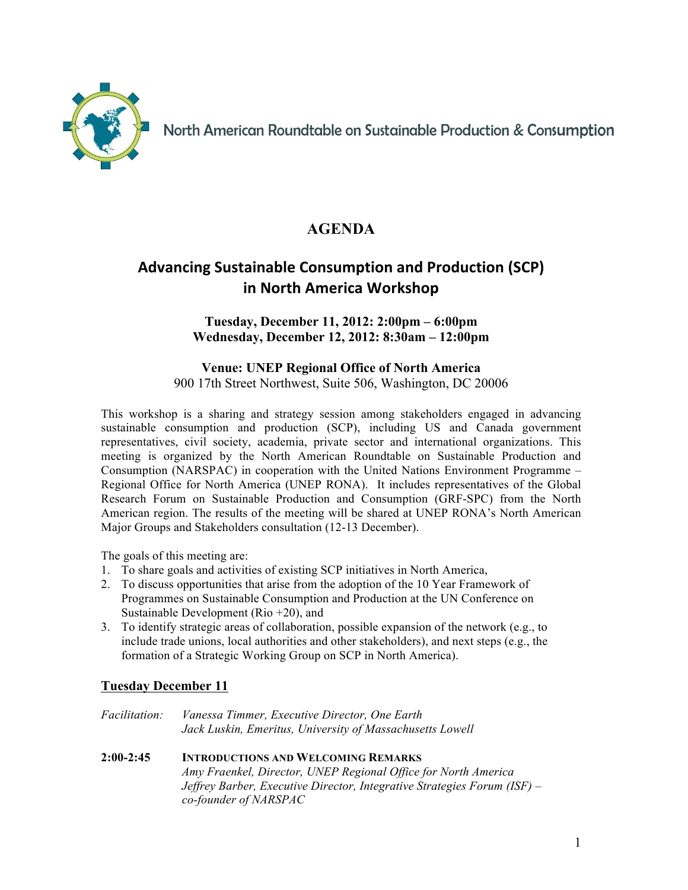

North American Roundtable on Sustainable Production & Consumption

# **AGENDA**

# Advancing Sustainable Consumption and Production (SCP) **in North America Workshop**

### **Tuesday, December 11, 2012: 2:00pm – 6:00pm Wednesday, December 12, 2012: 8:30am – 12:00pm**

**Venue: UNEP Regional Office of North America** 900 17th Street Northwest, Suite 506, Washington, DC 20006

This workshop is a sharing and strategy session among stakeholders engaged in advancing sustainable consumption and production (SCP), including US and Canada government representatives, civil society, academia, private sector and international organizations. This meeting is organized by the North American Roundtable on Sustainable Production and Consumption (NARSPAC) in cooperation with the United Nations Environment Programme – Regional Office for North America (UNEP RONA). It includes representatives of the Global Research Forum on Sustainable Production and Consumption (GRF-SPC) from the North American region. The results of the meeting will be shared at UNEP RONA's North American Major Groups and Stakeholders consultation (12-13 December).

The goals of this meeting are:

- 1. To share goals and activities of existing SCP initiatives in North America,
- 2. To discuss opportunities that arise from the adoption of the 10 Year Framework of Programmes on Sustainable Consumption and Production at the UN Conference on Sustainable Development (Rio +20), and
- 3. To identify strategic areas of collaboration, possible expansion of the network (e.g., to include trade unions, local authorities and other stakeholders), and next steps (e.g., the formation of a Strategic Working Group on SCP in North America).

## **Tuesday December 11**

- *Facilitation: Vanessa Timmer, Executive Director, One Earth Jack Luskin, Emeritus, University of Massachusetts Lowell*
- **2:00-2:45 INTRODUCTIONS AND WELCOMING REMARKS** *Amy Fraenkel, Director, UNEP Regional Office for North America Jeffrey Barber, Executive Director, Integrative Strategies Forum (ISF) – co-founder of NARSPAC*